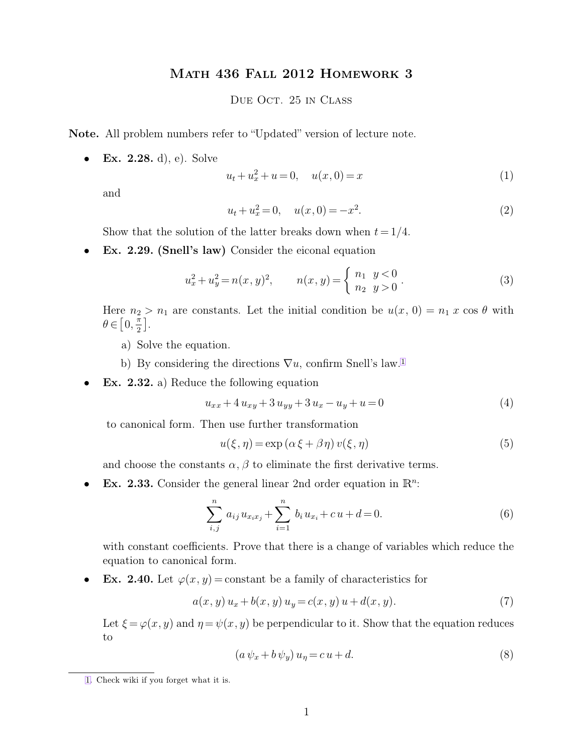## Math 436 Fall 2012 Homework 3

## <span id="page-0-0"></span>Due Oct. 25 in Class

**Note.** All problem numbers refer to "Updated" version of lecture note.

• **Ex. 2.28.** d), e). Solve

$$
u_t + u_x^2 + u = 0, \quad u(x,0) = x \tag{1}
$$

and

$$
u_t + u_x^2 = 0, \quad u(x,0) = -x^2. \tag{2}
$$

Show that the solution of the latter breaks down when  $t = 1/4$ .

• **Ex. 2.29. (Snell's law)** Consider the eiconal equation

$$
u_x^2 + u_y^2 = n(x, y)^2, \qquad n(x, y) = \begin{cases} n_1 & y < 0 \\ n_2 & y > 0 \end{cases} \tag{3}
$$

Here  $n_2 > n_1$  are constants. Let the initial condition be  $u(x, 0) = n_1 x \cos \theta$  with  $\theta \in \left[0, \frac{\pi}{2}\right]$  $\frac{\pi}{2}$ .

- a) Solve the equation.
- b) By considering the directions  $\nabla u$ , confirm Snell's law.<sup>1</sup>
- **Ex. 2.32.** a) Reduce the following equation

$$
u_{xx} + 4u_{xy} + 3u_{yy} + 3u_x - u_y + u = 0
$$
\n(4)

to canonical form. Then use further transformation

$$
u(\xi, \eta) = \exp\left(\alpha \xi + \beta \eta\right) v(\xi, \eta) \tag{5}
$$

and choose the constants  $\alpha$ ,  $\beta$  to eliminate the first derivative terms.

• Ex. 2.33. Consider the general linear 2nd order equation in  $\mathbb{R}^n$ :

$$
\sum_{i,j}^{n} a_{ij} u_{x_ix_j} + \sum_{i=1}^{n} b_i u_{x_i} + c u + d = 0.
$$
 (6)

with constant coefficients. Prove that there is a change of variables which reduce the equation to canonical form.

**Ex. 2.40.** Let  $\varphi(x, y) = \text{constant}$  be a family of characteristics for

$$
a(x, y) u_x + b(x, y) u_y = c(x, y) u + d(x, y).
$$
 (7)

Let  $\xi = \varphi(x, y)$  and  $\eta = \psi(x, y)$  be perpendicular to it. Show that the equation reduces to

$$
(a\,\psi_x + b\,\psi_y)\,u_\eta = c\,u + d.\tag{8}
$$

[<sup>1.</sup>](#page-0-0) Check wiki if you forget what it is.